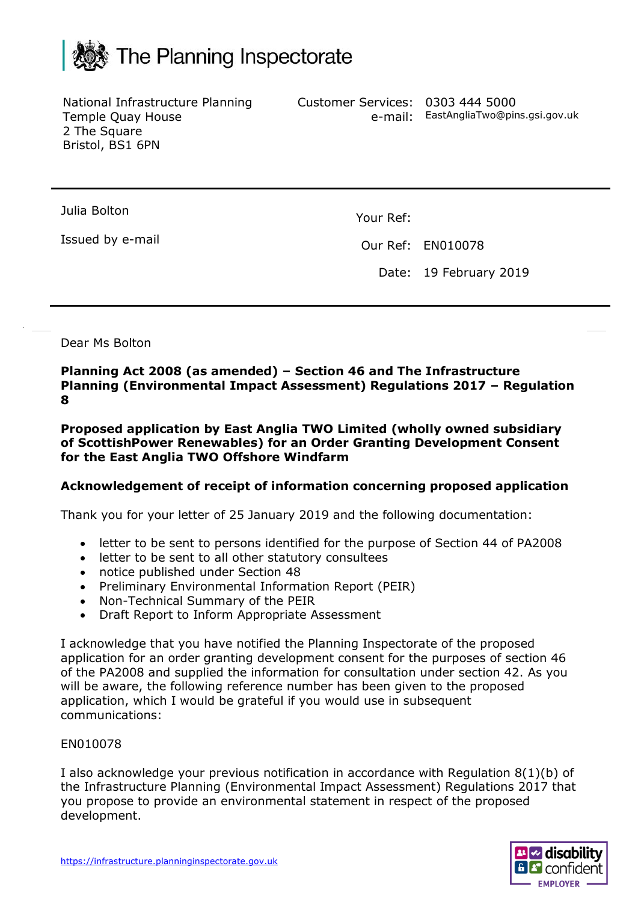

National Infrastructure Planning Temple Quay House 2 The Square Bristol, BS1 6PN

Customer Services: 0303 444 5000 e-mail: EastAngliaTwo@pins.gsi.gov.uk

Julia Bolton

Issued by e-mail

Your Ref:

Our Ref: EN010078

Date: 19 February 2019

Dear Ms Bolton

**Planning Act 2008 (as amended) – Section 46 and The Infrastructure Planning (Environmental Impact Assessment) Regulations 2017 – Regulation 8**

**Proposed application by East Anglia TWO Limited (wholly owned subsidiary of ScottishPower Renewables) for an Order Granting Development Consent for the East Anglia TWO Offshore Windfarm**

## **Acknowledgement of receipt of information concerning proposed application**

Thank you for your letter of 25 January 2019 and the following documentation:

- letter to be sent to persons identified for the purpose of Section 44 of PA2008
- letter to be sent to all other statutory consultees
- notice published under Section 48
- Preliminary Environmental Information Report (PEIR)
- Non-Technical Summary of the PEIR
- Draft Report to Inform Appropriate Assessment

I acknowledge that you have notified the Planning Inspectorate of the proposed application for an order granting development consent for the purposes of section 46 of the PA2008 and supplied the information for consultation under section 42. As you will be aware, the following reference number has been given to the proposed application, which I would be grateful if you would use in subsequent communications:

## EN010078

I also acknowledge your previous notification in accordance with Regulation 8(1)(b) of the Infrastructure Planning (Environmental Impact Assessment) Regulations 2017 that you propose to provide an environmental statement in respect of the proposed development.